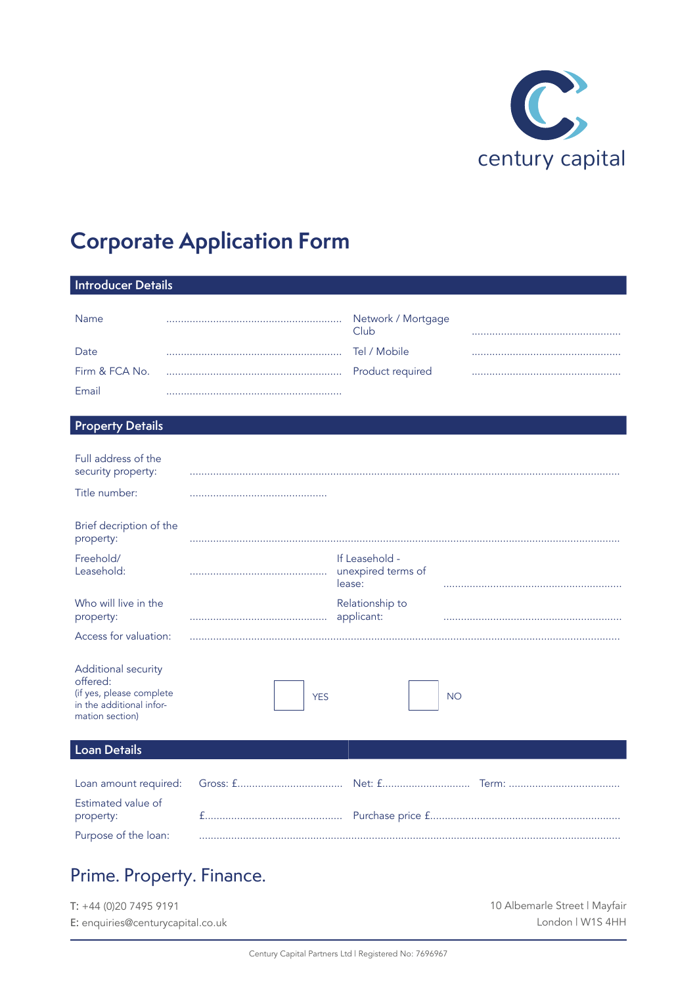

# **Corporate Application Form**

| <b>Introducer Details</b>                                                                                  |            |                                                |           |
|------------------------------------------------------------------------------------------------------------|------------|------------------------------------------------|-----------|
|                                                                                                            |            |                                                |           |
| Name                                                                                                       |            | Network / Mortgage<br>Club                     |           |
| Date                                                                                                       |            | Tel / Mobile                                   |           |
| Firm & FCA No.                                                                                             |            | Product required                               |           |
| Email                                                                                                      |            |                                                |           |
| <b>Property Details</b>                                                                                    |            |                                                |           |
|                                                                                                            |            |                                                |           |
| Full address of the<br>security property:                                                                  |            |                                                |           |
| Title number:                                                                                              |            |                                                |           |
| Brief decription of the                                                                                    |            |                                                |           |
| property:                                                                                                  |            |                                                |           |
| Freehold/<br>Leasehold:                                                                                    |            | If Leasehold -<br>unexpired terms of<br>lease: |           |
| Who will live in the<br>property:                                                                          |            | Relationship to<br>applicant:                  |           |
| Access for valuation:                                                                                      |            |                                                |           |
| Additional security<br>offered:<br>(if yes, please complete<br>in the additional infor-<br>mation section) | <b>YES</b> |                                                | <b>NO</b> |
| <b>Loan Details</b>                                                                                        |            |                                                |           |
| Loan amount required:                                                                                      |            |                                                |           |
| Estimated value of<br>property:                                                                            |            |                                                |           |

# Prime. Property. Finance.

Purpose of the loan:

| $T: +44(0)2074959191$             | 10 Albemarle Street   Mayfair |
|-----------------------------------|-------------------------------|
| E: enquiries@centurycapital.co.uk | London   W1S 4HH              |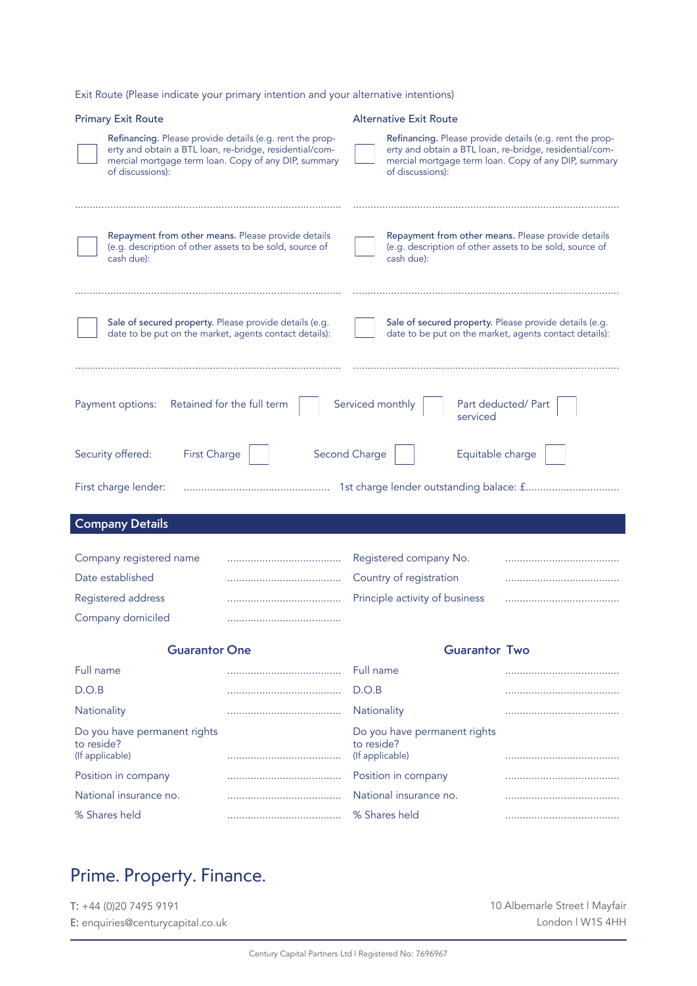Exit Route (Please indicate your primary intention and your alternative intentions)

| <b>Primary Exit Route</b>                                                                                                                                                                                                            |                                                      | <b>Alternative Exit Route</b>                                                                                                                                                                   |                     |  |  |
|--------------------------------------------------------------------------------------------------------------------------------------------------------------------------------------------------------------------------------------|------------------------------------------------------|-------------------------------------------------------------------------------------------------------------------------------------------------------------------------------------------------|---------------------|--|--|
| Refinancing. Please provide details (e.g. rent the prop-<br>erty and obtain a BTL loan, re-bridge, residential/com-<br>of discussions):                                                                                              | mercial mortgage term loan. Copy of any DIP, summary | Refinancing. Please provide details (e.g. rent the prop-<br>erty and obtain a BTL loan, re-bridge, residential/com-<br>mercial mortgage term loan. Copy of any DIP, summary<br>of discussions): |                     |  |  |
| Repayment from other means. Please provide details<br>(e.g. description of other assets to be sold, source of<br>cash due):                                                                                                          |                                                      | Repayment from other means. Please provide details<br>(e.g. description of other assets to be sold, source of<br>cash due):                                                                     |                     |  |  |
| Sale of secured property. Please provide details (e.g.<br>Sale of secured property. Please provide details (e.g.<br>date to be put on the market, agents contact details):<br>date to be put on the market, agents contact details): |                                                      |                                                                                                                                                                                                 |                     |  |  |
| Payment options:                                                                                                                                                                                                                     | Retained for the full term                           | Serviced monthly<br>serviced                                                                                                                                                                    | Part deducted/ Part |  |  |
| First Charge<br>Security offered:                                                                                                                                                                                                    |                                                      | Second Charge<br>Equitable charge                                                                                                                                                               |                     |  |  |
| First charge lender:                                                                                                                                                                                                                 |                                                      | 1st charge lender outstanding balace: f                                                                                                                                                         |                     |  |  |
| <b>Company Details</b>                                                                                                                                                                                                               |                                                      |                                                                                                                                                                                                 |                     |  |  |
| Company registered name                                                                                                                                                                                                              |                                                      | Registered company No.                                                                                                                                                                          |                     |  |  |
| Date established                                                                                                                                                                                                                     |                                                      | Country of registration                                                                                                                                                                         |                     |  |  |
| Registered address                                                                                                                                                                                                                   |                                                      |                                                                                                                                                                                                 |                     |  |  |
| Company domiciled                                                                                                                                                                                                                    |                                                      |                                                                                                                                                                                                 |                     |  |  |
|                                                                                                                                                                                                                                      |                                                      | Principle activity of business                                                                                                                                                                  |                     |  |  |
| <b>Guarantor One</b>                                                                                                                                                                                                                 |                                                      | <b>Guarantor Two</b>                                                                                                                                                                            |                     |  |  |
| Full name                                                                                                                                                                                                                            |                                                      | Full name                                                                                                                                                                                       |                     |  |  |
| D.O.B                                                                                                                                                                                                                                |                                                      | D.O.B                                                                                                                                                                                           |                     |  |  |
| Nationality                                                                                                                                                                                                                          |                                                      | Nationality                                                                                                                                                                                     |                     |  |  |
| Do you have permanent rights<br>to reside?<br>(If applicable)                                                                                                                                                                        |                                                      | Do you have permanent rights<br>to reside?<br>(If applicable)                                                                                                                                   |                     |  |  |
| Position in company                                                                                                                                                                                                                  |                                                      | Position in company                                                                                                                                                                             |                     |  |  |
| National insurance no.                                                                                                                                                                                                               |                                                      | National insurance no.                                                                                                                                                                          |                     |  |  |

# Prime. Property. Finance.

T: +44 (0)20 7495 9191 E: enquiries@centurycapital.co.uk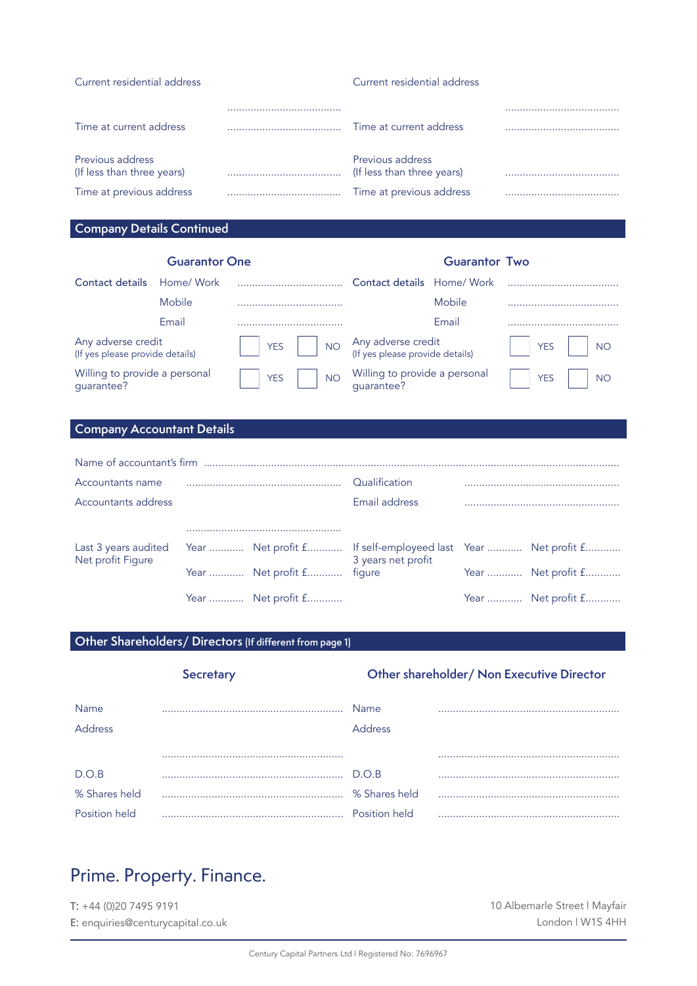| Current residential address                    | Current residential address                    |  |
|------------------------------------------------|------------------------------------------------|--|
|                                                |                                                |  |
| Time at current address                        | Time at current address                        |  |
| Previous address<br>(If less than three years) | Previous address<br>(If less than three years) |  |
| Time at previous address                       | Time at previous address                       |  |

# **Company Details Continued**

#### **Guarantor One Guarantor Two**

| Contact details                                       | Home/ Work |            |           | Contact details Home/ Work                            |        |            |           |
|-------------------------------------------------------|------------|------------|-----------|-------------------------------------------------------|--------|------------|-----------|
|                                                       | Mobile     |            |           |                                                       | Mobile |            |           |
|                                                       | Email      |            |           |                                                       | Email  |            |           |
| Any adverse credit<br>(If yes please provide details) |            | <b>YES</b> | <b>NO</b> | Any adverse credit<br>(If yes please provide details) |        | <b>YES</b> | <b>NO</b> |
| Willing to provide a personal<br>guarantee?           |            | <b>YES</b> | <b>NO</b> | Willing to provide a personal<br>guarantee?           |        | <b>YES</b> | <b>NO</b> |

# **Company Accountant Details**

| Accountants name     |                    | Qualification                                                |                    |
|----------------------|--------------------|--------------------------------------------------------------|--------------------|
| Accountants address  |                    | Email address                                                |                    |
|                      |                    |                                                              |                    |
| Last 3 years audited |                    | Year  Net profit f If self-employeed last Year  Net profit f |                    |
| Net profit Figure    | Year  Net profit f | 3 years net profit<br>figure                                 | Year  Net profit f |
|                      | Year  Net profit f |                                                              | Year  Net profit f |

## **Other Shareholders/ Directors (If different from page 1)**

| <b>Secretary</b> |  | Other shareholder/ Non Executive Director |  |
|------------------|--|-------------------------------------------|--|
| Name<br>Address  |  | Name<br><b>Address</b>                    |  |
|                  |  |                                           |  |
| D.O.B            |  | D.O.B                                     |  |
| % Shares held    |  | % Shares held                             |  |
| Position held    |  | Position held                             |  |

# Prime. Property. Finance.

T: +44 (0)20 7495 9191 E: enquiries@centurycapital.co.uk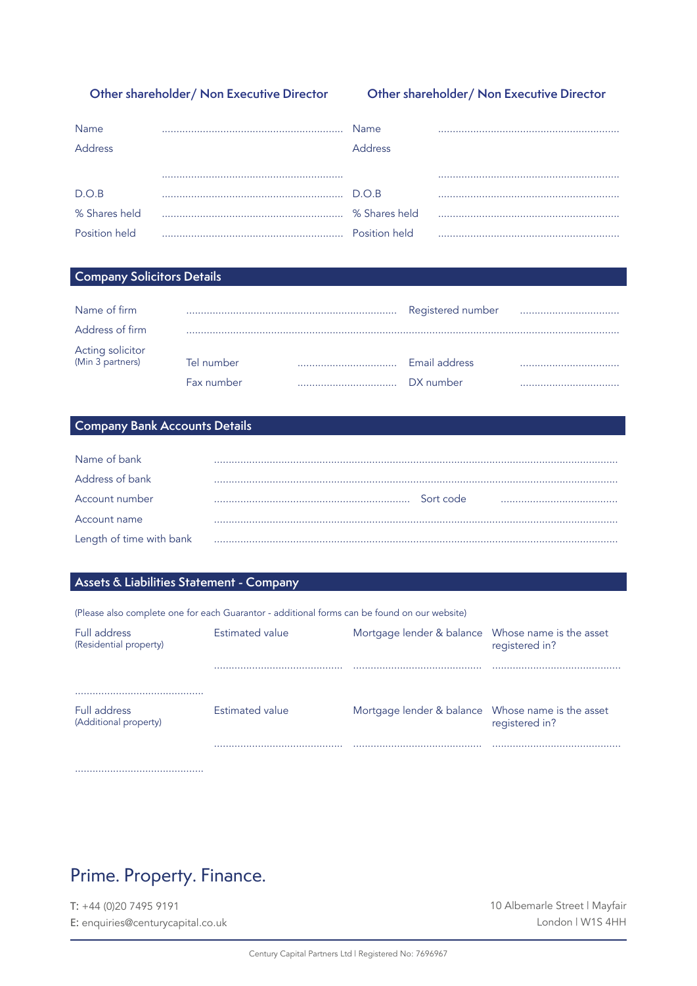## Other shareholder/ Non Executive Director

## Other shareholder/ Non Executive Director

| Name           | Name           |  |
|----------------|----------------|--|
| <b>Address</b> | <b>Address</b> |  |
|                |                |  |
| D.O.B          | $D$ $\cap$ $B$ |  |
| % Shares held  |                |  |
| Position held  | Position held  |  |

## **Company Solicitors Details**

| Name of firm                         |            | Registered number |  |
|--------------------------------------|------------|-------------------|--|
| Address of firm                      |            |                   |  |
| Acting solicitor<br>(Min 3 partners) | Tel number | Email address     |  |
|                                      | Fax number | DX number         |  |

## Company Bank Accounts Details

| Name of bank             |   |           |  |
|--------------------------|---|-----------|--|
| Address of bank          |   |           |  |
| Account number           |   | Sort code |  |
| Account name             |   |           |  |
| Length of time with bank | . |           |  |

## Assets & Liabilities Statement - Company

|                                              | (Please also complete one for each Guarantor - additional forms can be found on our website) |                                                   |                |
|----------------------------------------------|----------------------------------------------------------------------------------------------|---------------------------------------------------|----------------|
| Full address<br>(Residential property)       | Estimated value                                                                              | Mortgage lender & balance Whose name is the asset | registered in? |
|                                              |                                                                                              |                                                   |                |
| <b>Full address</b><br>(Additional property) | Estimated value                                                                              | Mortgage lender & balance Whose name is the asset | registered in? |
|                                              |                                                                                              |                                                   |                |

# Prime. Property. Finance.

 $T: +44(0)2074959191$ E: enquiries@centurycapital.co.uk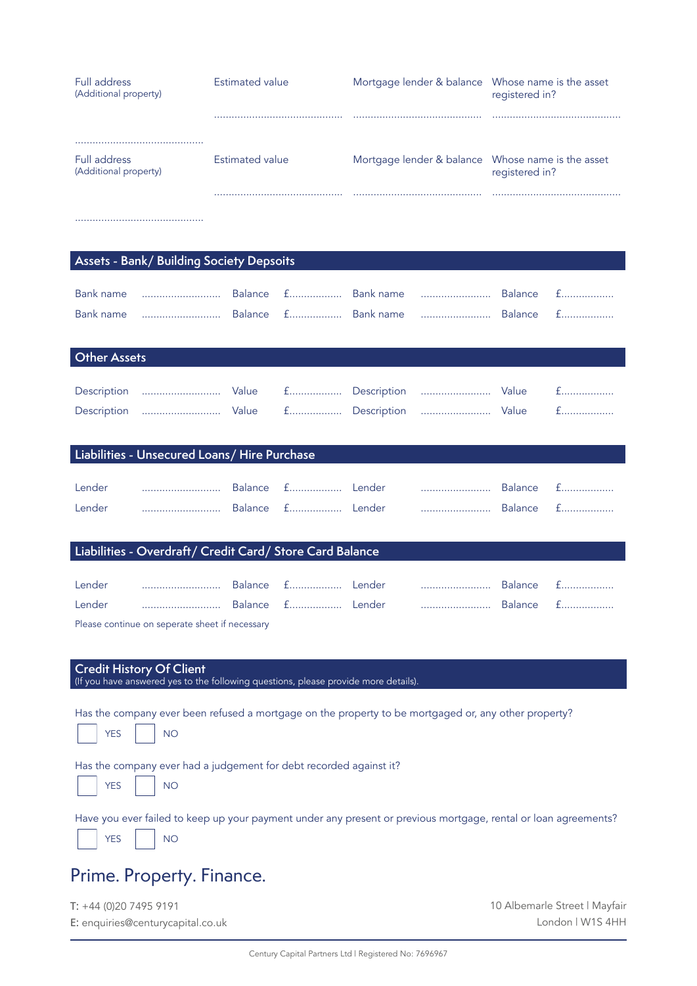| <b>Full address</b><br>(Additional property) | Estimated value          | Mortgage lender & balance Whose name is the asset | registered in? |
|----------------------------------------------|--------------------------|---------------------------------------------------|----------------|
|                                              |                          |                                                   |                |
|                                              |                          |                                                   |                |
| Full address<br>(Additional property)        | Estimated value          | Mortgage lender & balance Whose name is the asset | registered in? |
|                                              |                          |                                                   |                |
|                                              |                          |                                                   |                |
|                                              |                          |                                                   |                |
|                                              |                          |                                                   |                |
| $1.78 \pm 1.1$<br>$\sim$                     | $\sim$ $\sim$<br>.<br>۰. |                                                   |                |

## **Assets - Bank/ Building Society Depsoits**

| <b>Other Assets</b> |                                           |  |  |  |  |  |  |
|---------------------|-------------------------------------------|--|--|--|--|--|--|
|                     |                                           |  |  |  |  |  |  |
|                     | Description  Value f Description  Value f |  |  |  |  |  |  |
|                     | Description  Value f Description  Value f |  |  |  |  |  |  |

#### **Liabilities - Unsecured Loans/ Hire Purchase**

| Lender |  |  | <b>Balance</b> | $+$ $+$ $-$ |
|--------|--|--|----------------|-------------|
| Lender |  |  | Balance f      |             |

## **Liabilities - Overdraft/ Credit Card/ Store Card Balance**

| Lender |                                                                                                                                                                                                                               |  |  | Balance £ |  |
|--------|-------------------------------------------------------------------------------------------------------------------------------------------------------------------------------------------------------------------------------|--|--|-----------|--|
| Lender |                                                                                                                                                                                                                               |  |  | Balance f |  |
|        | The company of the company of the company of the company of the company of the company of the company of the company of the company of the company of the company of the company of the company of the company of the company |  |  |           |  |

Please continue on seperate sheet if necessary

## **Credit History Of Client**

(If you have answered yes to the following questions, please provide more details).

Has the company ever been refused a mortgage on the property to be mortgaged or, any other property?

| v. |  |
|----|--|
|----|--|

Has the company ever had a judgement for debt recorded against it?



Have you ever failed to keep up your payment under any present or previous mortgage, rental or loan agreements? YES NO

# Prime. Property. Finance.

T: +44 (0)20 7495 9191 E: enquiries@centurycapital.co.uk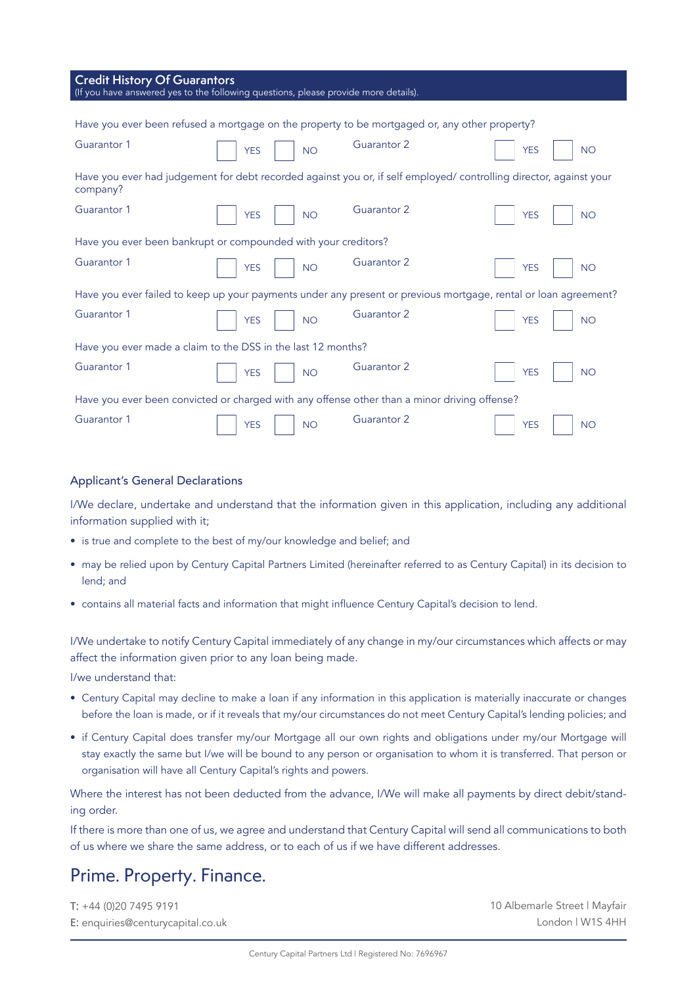| <b>Credit History Of Guarantors</b><br>(If you have answered yes to the following questions, please provide more details). |                                                                |                                                                                                                    |                         |  |  |
|----------------------------------------------------------------------------------------------------------------------------|----------------------------------------------------------------|--------------------------------------------------------------------------------------------------------------------|-------------------------|--|--|
|                                                                                                                            |                                                                |                                                                                                                    |                         |  |  |
|                                                                                                                            |                                                                | Have you ever been refused a mortgage on the property to be mortgaged or, any other property?                      |                         |  |  |
| Guarantor 1                                                                                                                | <b>YES</b><br><b>NO</b>                                        | Guarantor 2                                                                                                        | <b>YES</b><br><b>NO</b> |  |  |
| company?                                                                                                                   |                                                                | Have you ever had judgement for debt recorded against you or, if self employed/ controlling director, against your |                         |  |  |
| Guarantor 1                                                                                                                | <b>YES</b><br><b>NO</b>                                        | Guarantor 2                                                                                                        | <b>YES</b><br><b>NO</b> |  |  |
|                                                                                                                            | Have you ever been bankrupt or compounded with your creditors? |                                                                                                                    |                         |  |  |
| Guarantor 1                                                                                                                | <b>YES</b><br><b>NO</b>                                        | Guarantor 2                                                                                                        | <b>YES</b><br><b>NO</b> |  |  |
|                                                                                                                            |                                                                | Have you ever failed to keep up your payments under any present or previous mortgage, rental or loan agreement?    |                         |  |  |
| Guarantor 1                                                                                                                | <b>YES</b><br><b>NO</b>                                        | Guarantor 2                                                                                                        | <b>YES</b><br><b>NO</b> |  |  |
| Have you ever made a claim to the DSS in the last 12 months?                                                               |                                                                |                                                                                                                    |                         |  |  |
| Guarantor 1                                                                                                                | <b>YES</b><br><b>NO</b>                                        | Guarantor 2                                                                                                        | <b>YES</b><br><b>NO</b> |  |  |
| Have you ever been convicted or charged with any offense other than a minor driving offense?                               |                                                                |                                                                                                                    |                         |  |  |
| Guarantor 1                                                                                                                | <b>YES</b><br><b>NO</b>                                        | Guarantor 2                                                                                                        | <b>YES</b><br><b>NO</b> |  |  |

#### Applicant's General Declarations

I/We declare, undertake and understand that the information given in this application, including any additional information supplied with it;

- is true and complete to the best of my/our knowledge and belief; and
- may be relied upon by Century Capital Partners Limited (hereinafter referred to as Century Capital) in its decision to lend; and
- contains all material facts and information that might influence Century Capital's decision to lend.

I/We undertake to notify Century Capital immediately of any change in my/our circumstances which affects or may affect the information given prior to any loan being made.

I/we understand that:

- Century Capital may decline to make a loan if any information in this application is materially inaccurate or changes before the loan is made, or if it reveals that my/our circumstances do not meet Century Capital's lending policies; and
- if Century Capital does transfer my/our Mortgage all our own rights and obligations under my/our Mortgage will stay exactly the same but I/we will be bound to any person or organisation to whom it is transferred. That person or organisation will have all Century Capital's rights and powers.

Where the interest has not been deducted from the advance, I/We will make all payments by direct debit/standing order.

If there is more than one of us, we agree and understand that Century Capital will send all communications to both of us where we share the same address, or to each of us if we have different addresses.

# Prime. Property. Finance.

T: +44 (0)20 7495 9191 E: enquiries@centurycapital.co.uk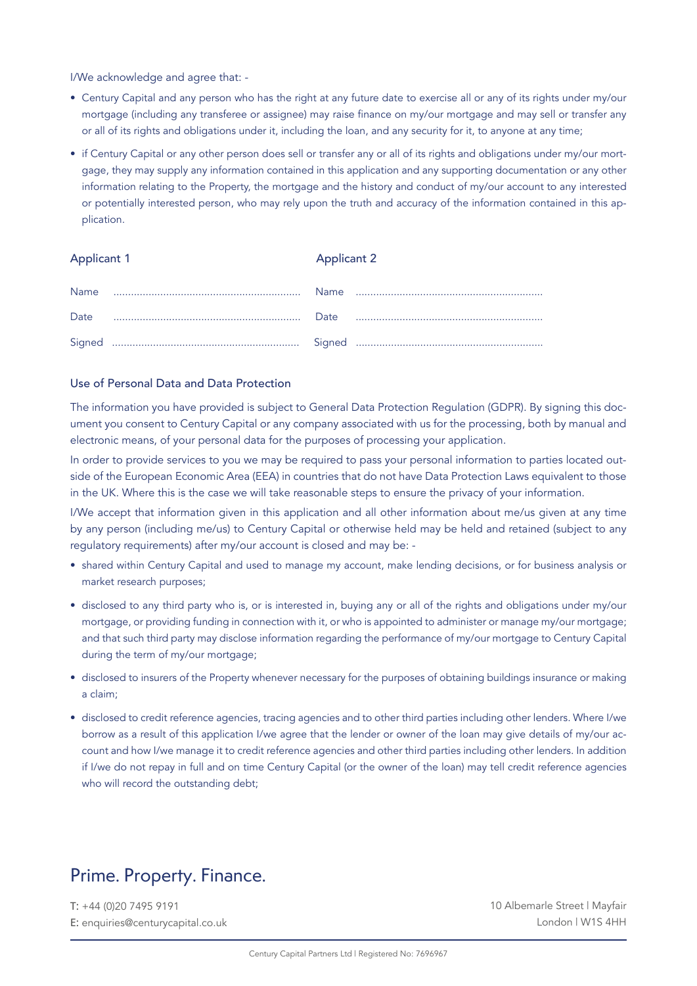I/We acknowledge and agree that: -

- Century Capital and any person who has the right at any future date to exercise all or any of its rights under my/our mortgage (including any transferee or assignee) may raise finance on my/our mortgage and may sell or transfer any or all of its rights and obligations under it, including the loan, and any security for it, to anyone at any time;
- if Century Capital or any other person does sell or transfer any or all of its rights and obligations under my/our mortgage, they may supply any information contained in this application and any supporting documentation or any other information relating to the Property, the mortgage and the history and conduct of my/our account to any interested or potentially interested person, who may rely upon the truth and accuracy of the information contained in this application.

#### Applicant 1 Applicant 2

| Name |  |  |
|------|--|--|
| Date |  |  |
|      |  |  |

## Use of Personal Data and Data Protection

The information you have provided is subject to General Data Protection Regulation (GDPR). By signing this document you consent to Century Capital or any company associated with us for the processing, both by manual and electronic means, of your personal data for the purposes of processing your application.

In order to provide services to you we may be required to pass your personal information to parties located outside of the European Economic Area (EEA) in countries that do not have Data Protection Laws equivalent to those in the UK. Where this is the case we will take reasonable steps to ensure the privacy of your information.

I/We accept that information given in this application and all other information about me/us given at any time by any person (including me/us) to Century Capital or otherwise held may be held and retained (subject to any regulatory requirements) after my/our account is closed and may be: -

- shared within Century Capital and used to manage my account, make lending decisions, or for business analysis or market research purposes;
- disclosed to any third party who is, or is interested in, buying any or all of the rights and obligations under my/our mortgage, or providing funding in connection with it, or who is appointed to administer or manage my/our mortgage; and that such third party may disclose information regarding the performance of my/our mortgage to Century Capital during the term of my/our mortgage;
- disclosed to insurers of the Property whenever necessary for the purposes of obtaining buildings insurance or making a claim;
- disclosed to credit reference agencies, tracing agencies and to other third parties including other lenders. Where I/we borrow as a result of this application I/we agree that the lender or owner of the loan may give details of my/our account and how I/we manage it to credit reference agencies and other third parties including other lenders. In addition if I/we do not repay in full and on time Century Capital (or the owner of the loan) may tell credit reference agencies who will record the outstanding debt;

## Prime. Property. Finance.

T: +44 (0)20 7495 9191 E: enquiries@centurycapital.co.uk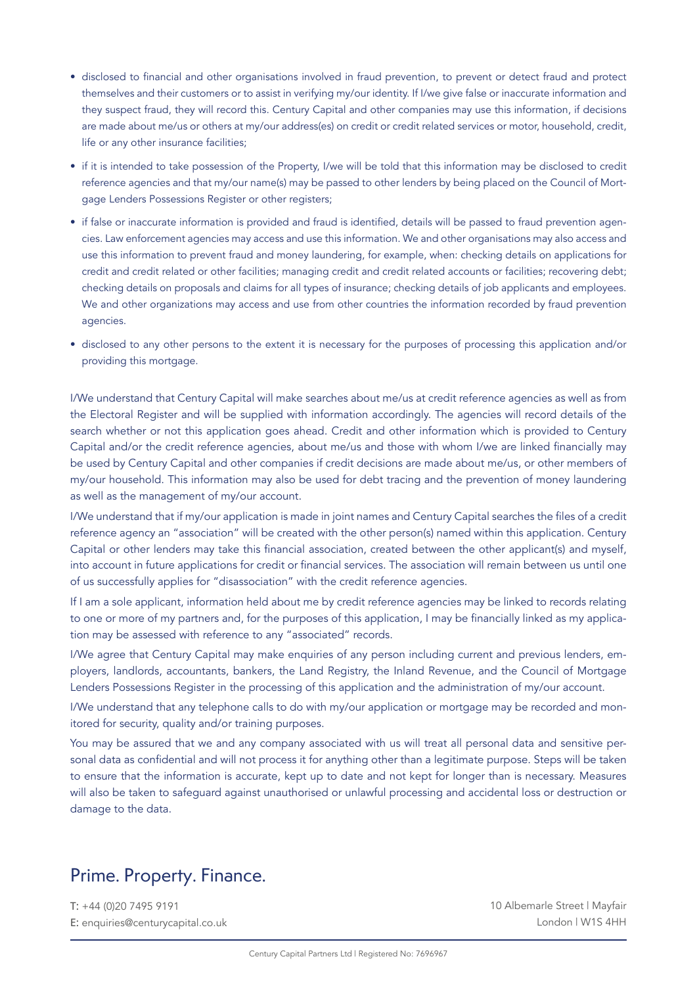- disclosed to financial and other organisations involved in fraud prevention, to prevent or detect fraud and protect themselves and their customers or to assist in verifying my/our identity. If I/we give false or inaccurate information and they suspect fraud, they will record this. Century Capital and other companies may use this information, if decisions are made about me/us or others at my/our address(es) on credit or credit related services or motor, household, credit, life or any other insurance facilities;
- if it is intended to take possession of the Property, I/we will be told that this information may be disclosed to credit reference agencies and that my/our name(s) may be passed to other lenders by being placed on the Council of Mortgage Lenders Possessions Register or other registers;
- if false or inaccurate information is provided and fraud is identified, details will be passed to fraud prevention agencies. Law enforcement agencies may access and use this information. We and other organisations may also access and use this information to prevent fraud and money laundering, for example, when: checking details on applications for credit and credit related or other facilities; managing credit and credit related accounts or facilities; recovering debt; checking details on proposals and claims for all types of insurance; checking details of job applicants and employees. We and other organizations may access and use from other countries the information recorded by fraud prevention agencies.
- disclosed to any other persons to the extent it is necessary for the purposes of processing this application and/or providing this mortgage.

I/We understand that Century Capital will make searches about me/us at credit reference agencies as well as from the Electoral Register and will be supplied with information accordingly. The agencies will record details of the search whether or not this application goes ahead. Credit and other information which is provided to Century Capital and/or the credit reference agencies, about me/us and those with whom I/we are linked financially may be used by Century Capital and other companies if credit decisions are made about me/us, or other members of my/our household. This information may also be used for debt tracing and the prevention of money laundering as well as the management of my/our account.

I/We understand that if my/our application is made in joint names and Century Capital searches the files of a credit reference agency an "association" will be created with the other person(s) named within this application. Century Capital or other lenders may take this financial association, created between the other applicant(s) and myself, into account in future applications for credit or financial services. The association will remain between us until one of us successfully applies for "disassociation" with the credit reference agencies.

If I am a sole applicant, information held about me by credit reference agencies may be linked to records relating to one or more of my partners and, for the purposes of this application, I may be financially linked as my application may be assessed with reference to any "associated" records.

I/We agree that Century Capital may make enquiries of any person including current and previous lenders, employers, landlords, accountants, bankers, the Land Registry, the Inland Revenue, and the Council of Mortgage Lenders Possessions Register in the processing of this application and the administration of my/our account.

I/We understand that any telephone calls to do with my/our application or mortgage may be recorded and monitored for security, quality and/or training purposes.

You may be assured that we and any company associated with us will treat all personal data and sensitive personal data as confidential and will not process it for anything other than a legitimate purpose. Steps will be taken to ensure that the information is accurate, kept up to date and not kept for longer than is necessary. Measures will also be taken to safeguard against unauthorised or unlawful processing and accidental loss or destruction or damage to the data.

# Prime. Property. Finance.

T: +44 (0)20 7495 9191 E: enquiries@centurycapital.co.uk